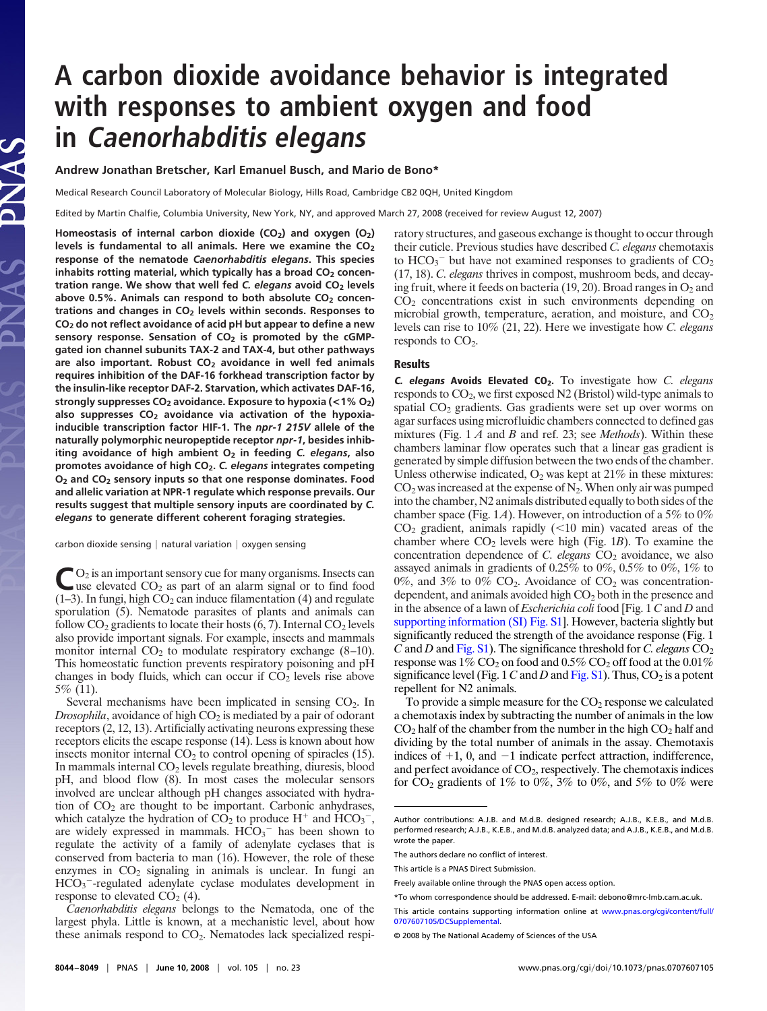## **A carbon dioxide avoidance behavior is integrated with responses to ambient oxygen and food in Caenorhabditis elegans**

**Andrew Jonathan Bretscher, Karl Emanuel Busch, and Mario de Bono\***

Medical Research Council Laboratory of Molecular Biology, Hills Road, Cambridge CB2 0QH, United Kingdom

Edited by Martin Chalfie, Columbia University, New York, NY, and approved March 27, 2008 (received for review August 12, 2007)

Homeostasis of internal carbon dioxide (CO<sub>2</sub>) and oxygen (O<sub>2</sub>) levels is fundamental to all animals. Here we examine the CO<sub>2</sub> **response of the nematode** *Caenorhabditis elegans***. This species** inhabits rotting material, which typically has a broad CO<sub>2</sub> concen**tration range. We show that well fed** *C. elegans* **avoid CO2 levels** above 0.5%. Animals can respond to both absolute CO<sub>2</sub> concen**trations and changes in CO2 levels within seconds. Responses to CO2 do not reflect avoidance of acid pH but appear to define a new** sensory response. Sensation of CO<sub>2</sub> is promoted by the cGMP**gated ion channel subunits TAX-2 and TAX-4, but other pathways are also important. Robust CO2 avoidance in well fed animals requires inhibition of the DAF-16 forkhead transcription factor by the insulin-like receptor DAF-2. Starvation, which activates DAF-16, strongly suppresses CO2 avoidance. Exposure to hypoxia (<1% O2)** also suppresses CO<sub>2</sub> avoidance via activation of the hypoxia**inducible transcription factor HIF-1. The** *npr-1 215V* **allele of the naturally polymorphic neuropeptide receptor** *npr-1***, besides inhib**iting avoidance of high ambient O<sub>2</sub> in feeding *C. elegans*, also **promotes avoidance of high CO2.** *C. elegans* **integrates competing O2 and CO2 sensory inputs so that one response dominates. Food and allelic variation at NPR-1 regulate which response prevails. Our results suggest that multiple sensory inputs are coordinated by** *C. elegans* **to generate different coherent foraging strategies.**

carbon dioxide sensing  $|$  natural variation  $|$  oxygen sensing

 $\bigcup_{\alpha=0}^{\infty} Q_2$  is an important sensory cue for many organisms. Insects can<br>use elevated  $CO_2$  as part of an alarm signal or to find food  $(1-3)$ . In fungi, high  $CO<sub>2</sub>$  can induce filamentation (4) and regulate sporulation (5). Nematode parasites of plants and animals can follow  $CO_2$  gradients to locate their hosts (6, 7). Internal  $CO_2$  levels also provide important signals. For example, insects and mammals monitor internal  $CO<sub>2</sub>$  to modulate respiratory exchange (8–10). This homeostatic function prevents respiratory poisoning and pH changes in body fluids, which can occur if  $CO<sub>2</sub>$  levels rise above 5% (11).

Several mechanisms have been implicated in sensing  $CO<sub>2</sub>$ . In *Drosophila*, avoidance of high  $CO<sub>2</sub>$  is mediated by a pair of odorant receptors (2, 12, 13). Artificially activating neurons expressing these receptors elicits the escape response (14). Less is known about how insects monitor internal  $CO<sub>2</sub>$  to control opening of spiracles (15). In mammals internal  $CO<sub>2</sub>$  levels regulate breathing, diuresis, blood pH, and blood flow (8). In most cases the molecular sensors involved are unclear although pH changes associated with hydration of  $CO<sub>2</sub>$  are thought to be important. Carbonic anhydrases, which catalyze the hydration of  $CO<sub>2</sub>$  to produce  $H<sup>+</sup>$  and  $HCO<sub>3</sub><sup>-</sup>$ , are widely expressed in mammals.  $HCO<sub>3</sub><sup>-</sup>$  has been shown to regulate the activity of a family of adenylate cyclases that is conserved from bacteria to man (16). However, the role of these enzymes in  $CO<sub>2</sub>$  signaling in animals is unclear. In fungi an  $HCO<sub>3</sub>$ -regulated adenylate cyclase modulates development in response to elevated  $CO<sub>2</sub>(4)$ .

*Caenorhabditis elegans* belongs to the Nematoda, one of the largest phyla. Little is known, at a mechanistic level, about how these animals respond to  $CO<sub>2</sub>$ . Nematodes lack specialized respiratory structures, and gaseous exchange is thought to occur through their cuticle. Previous studies have described *C. elegans* chemotaxis to  $HCO<sub>3</sub><sup>-</sup>$  but have not examined responses to gradients of  $CO<sub>2</sub>$ (17, 18). *C. elegans* thrives in compost, mushroom beds, and decaying fruit, where it feeds on bacteria (19, 20). Broad ranges in  $O_2$  and  $CO<sub>2</sub>$  concentrations exist in such environments depending on microbial growth, temperature, aeration, and moisture, and  $CO<sub>2</sub>$ levels can rise to 10% (21, 22). Here we investigate how *C. elegans* responds to  $CO<sub>2</sub>$ .

## **Results**

**C. elegans Avoids Elevated CO2.** To investigate how *C. elegans* responds to CO2, we first exposed N2 (Bristol) wild-type animals to spatial CO<sub>2</sub> gradients. Gas gradients were set up over worms on agar surfaces using microfluidic chambers connected to defined gas mixtures (Fig. 1 *A* and *B* and ref. 23; see *Methods*). Within these chambers laminar flow operates such that a linear gas gradient is generated by simple diffusion between the two ends of the chamber. Unless otherwise indicated,  $O_2$  was kept at 21% in these mixtures:  $CO<sub>2</sub>$  was increased at the expense of N<sub>2</sub>. When only air was pumped into the chamber, N2 animals distributed equally to both sides of the chamber space (Fig. 1*A*). However, on introduction of a 5% to 0%  $CO<sub>2</sub>$  gradient, animals rapidly ( $<$ 10 min) vacated areas of the chamber where  $CO<sub>2</sub>$  levels were high (Fig. 1*B*). To examine the concentration dependence of *C. elegans* CO<sub>2</sub> avoidance, we also assayed animals in gradients of 0.25% to 0%, 0.5% to 0%, 1% to 0%, and 3% to 0%  $CO<sub>2</sub>$ . Avoidance of  $CO<sub>2</sub>$  was concentrationdependent, and animals avoided high CO<sub>2</sub> both in the presence and in the absence of a lawn of *Escherichia coli* food [Fig. 1 *C* and *D* and [supporting information \(SI\) Fig. S1\]](http://www.pnas.org/cgi/data/0707607105/DCSupplemental/Supplemental_PDF#nameddest=SF1). However, bacteria slightly but significantly reduced the strength of the avoidance response (Fig. 1 *C* and *D* and [Fig. S1\)](http://www.pnas.org/cgi/data/0707607105/DCSupplemental/Supplemental_PDF#nameddest=SF1). The significance threshold for *C. elegans*  $CO<sub>2</sub>$ response was  $1\%$  CO<sub>2</sub> on food and  $0.5\%$  CO<sub>2</sub> off food at the  $0.01\%$ significance level (Fig. 1  $C$  and  $D$  and [Fig. S1\)](http://www.pnas.org/cgi/data/0707607105/DCSupplemental/Supplemental_PDF#nameddest=SF1). Thus,  $CO_2$  is a potent repellent for N2 animals.

To provide a simple measure for the  $CO<sub>2</sub>$  response we calculated a chemotaxis index by subtracting the number of animals in the low  $CO<sub>2</sub>$  half of the chamber from the number in the high  $CO<sub>2</sub>$  half and dividing by the total number of animals in the assay. Chemotaxis indices of  $+1$ , 0, and  $-1$  indicate perfect attraction, indifference, and perfect avoidance of CO<sub>2</sub>, respectively. The chemotaxis indices for  $CO_2$  gradients of 1% to 0%, 3% to 0%, and 5% to 0% were

Author contributions: A.J.B. and M.d.B. designed research; A.J.B., K.E.B., and M.d.B. performed research; A.J.B., K.E.B., and M.d.B. analyzed data; and A.J.B., K.E.B., and M.d.B. wrote the paper.

The authors declare no conflict of interest.

This article is a PNAS Direct Submission.

Freely available online through the PNAS open access option.

<sup>\*</sup>To whom correspondence should be addressed. E-mail: debono@mrc-lmb.cam.ac.uk.

This article contains supporting information online at [www.pnas.org/cgi/content/full/](http://www.pnas.org/cgi/content/full/0707607105/DCSupplemental) [0707607105/DCSupplemental.](http://www.pnas.org/cgi/content/full/0707607105/DCSupplemental)

<sup>© 2008</sup> by The National Academy of Sciences of the USA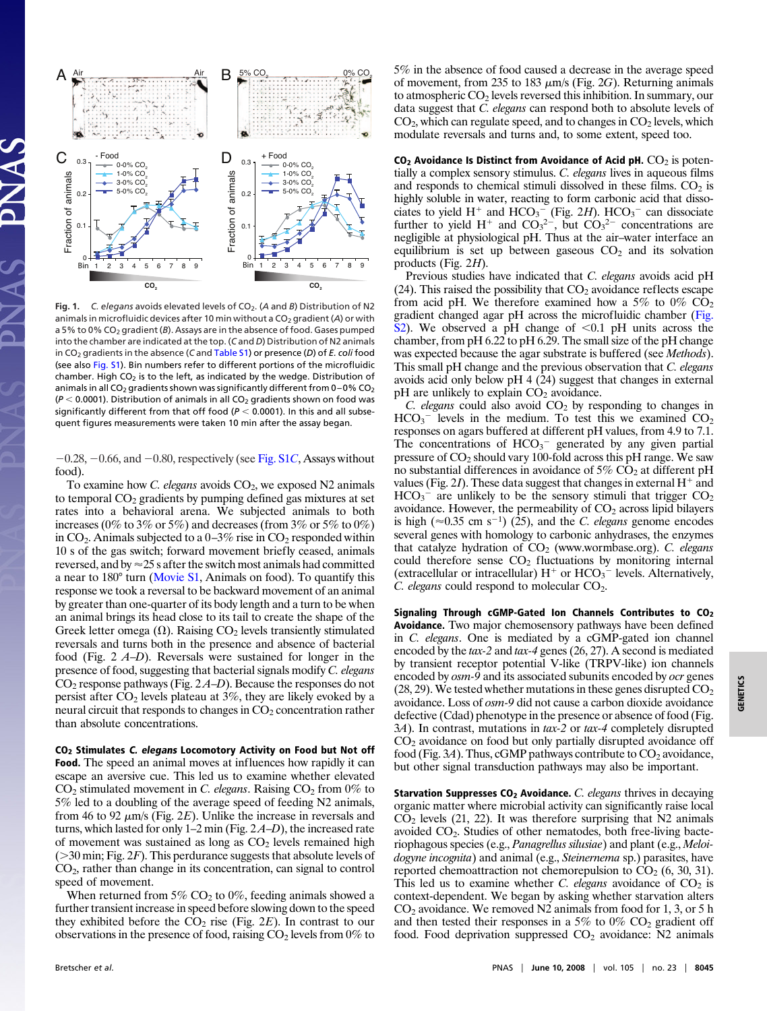

Fig. 1. *C. elegans* avoids elevated levels of CO<sub>2</sub>. (A and B) Distribution of N2 animals in microfluidic devices after 10 min without a CO<sub>2</sub> gradient (A) or with a 5% to 0% CO<sub>2</sub> gradient (B). Assays are in the absence of food. Gases pumped into the chamber are indicated at the top. (*C* and *D*) Distribution of N2 animals in CO2 gradients in the absence (*C* and [Table S1\)](http://www.pnas.org/cgi/data/0707607105/DCSupplemental/Supplemental_PDF#nameddest=ST1) or presence (*D*) of *E. coli* food (see also [Fig. S1\)](http://www.pnas.org/cgi/data/0707607105/DCSupplemental/Supplemental_PDF#nameddest=SF1). Bin numbers refer to different portions of the microfluidic chamber. High  $CO<sub>2</sub>$  is to the left, as indicated by the wedge. Distribution of animals in all CO<sub>2</sub> gradients shown was significantly different from  $0-0\%$  CO<sub>2</sub>  $(P < 0.0001)$ . Distribution of animals in all  $CO<sub>2</sub>$  gradients shown on food was significantly different from that off food ( $P < 0.0001$ ). In this and all subsequent figures measurements were taken 10 min after the assay began.

 $-0.28, -0.66,$  and  $-0.80$ , respectively (see [Fig. S1](http://www.pnas.org/cgi/data/0707607105/DCSupplemental/Supplemental_PDF#nameddest=SF1)C, Assays without food).

To examine how *C. elegans* avoids CO<sub>2</sub>, we exposed N2 animals to temporal  $CO<sub>2</sub>$  gradients by pumping defined gas mixtures at set rates into a behavioral arena. We subjected animals to both increases (0% to 3% or 5%) and decreases (from 3% or 5% to 0%) in  $CO_2$ . Animals subjected to a  $0-3\%$  rise in  $CO_2$  responded within 10 s of the gas switch; forward movement briefly ceased, animals reversed, and by  $\approx$  25 s after the switch most animals had committed a near to 180° turn [\(Movie S1,](http://www.pnas.org/cgi/data/0707607105/DCSupplemental/Supplemental_PDF#nameddest=SM1) Animals on food). To quantify this response we took a reversal to be backward movement of an animal by greater than one-quarter of its body length and a turn to be when an animal brings its head close to its tail to create the shape of the Greek letter omega  $(\Omega)$ . Raising CO<sub>2</sub> levels transiently stimulated reversals and turns both in the presence and absence of bacterial food (Fig. 2 *A*–*D*). Reversals were sustained for longer in the presence of food, suggesting that bacterial signals modify *C. elegans* CO2 response pathways (Fig. 2 *A*–*D*). Because the responses do not persist after  $CO<sub>2</sub>$  levels plateau at 3%, they are likely evoked by a neural circuit that responds to changes in  $CO<sub>2</sub>$  concentration rather than absolute concentrations.

**CO2 Stimulates C. elegans Locomotory Activity on Food but Not off Food.** The speed an animal moves at influences how rapidly it can escape an aversive cue. This led us to examine whether elevated  $CO<sub>2</sub>$  stimulated movement in *C. elegans*. Raising  $CO<sub>2</sub>$  from 0% to 5% led to a doubling of the average speed of feeding N2 animals, from 46 to 92  $\mu$ m/s (Fig. 2*E*). Unlike the increase in reversals and turns, which lasted for only 1–2 min (Fig. 2 *A*–*D*), the increased rate of movement was sustained as long as  $CO<sub>2</sub>$  levels remained high (30 min; Fig. 2*F*). This perdurance suggests that absolute levels of CO2, rather than change in its concentration, can signal to control speed of movement.

When returned from  $5\%$  CO<sub>2</sub> to 0%, feeding animals showed a further transient increase in speed before slowing down to the speed they exhibited before the  $CO<sub>2</sub>$  rise (Fig. 2*E*). In contrast to our observations in the presence of food, raising  $CO<sub>2</sub>$  levels from 0% to 5% in the absence of food caused a decrease in the average speed of movement, from 235 to 183  $\mu$ m/s (Fig. 2*G*). Returning animals to atmospheric CO<sub>2</sub> levels reversed this inhibition. In summary, our data suggest that *C. elegans* can respond both to absolute levels of  $CO<sub>2</sub>$ , which can regulate speed, and to changes in  $CO<sub>2</sub>$  levels, which modulate reversals and turns and, to some extent, speed too.

**CO<sub>2</sub> Avoidance Is Distinct from Avoidance of Acid pH.** CO<sub>2</sub> is potentially a complex sensory stimulus. *C. elegans* lives in aqueous films and responds to chemical stimuli dissolved in these films.  $CO<sub>2</sub>$  is highly soluble in water, reacting to form carbonic acid that dissociates to yield  $H^+$  and  $HCO<sub>3</sub><sup>-</sup>$  (Fig. 2*H*).  $HCO<sub>3</sub><sup>-</sup>$  can dissociate further to yield H<sup>+</sup> and  $CO_3^2$ <sup>-</sup>, but  $CO_3^2$ <sup>-</sup> concentrations are negligible at physiological pH. Thus at the air–water interface an equilibrium is set up between gaseous  $CO<sub>2</sub>$  and its solvation products (Fig. 2*H*).

Previous studies have indicated that *C. elegans* avoids acid pH (24). This raised the possibility that  $CO<sub>2</sub>$  avoidance reflects escape from acid pH. We therefore examined how a 5% to  $0\%$  CO<sub>2</sub> gradient changed agar pH across the microfluidic chamber [\(Fig.](http://www.pnas.org/cgi/data/0707607105/DCSupplemental/Supplemental_PDF#nameddest=SF2) [S2\)](http://www.pnas.org/cgi/data/0707607105/DCSupplemental/Supplemental_PDF#nameddest=SF2). We observed a pH change of  $\leq 0.1$  pH units across the chamber, from pH 6.22 to pH 6.29. The small size of the pH change was expected because the agar substrate is buffered (see *Methods*). This small pH change and the previous observation that *C. elegans* avoids acid only below pH 4 (24) suggest that changes in external  $pH$  are unlikely to explain  $CO<sub>2</sub>$  avoidance.

*C. elegans* could also avoid CO<sub>2</sub> by responding to changes in  $HCO<sub>3</sub>$ <sup>-</sup> levels in the medium. To test this we examined  $CO<sub>2</sub>$ responses on agars buffered at different pH values, from 4.9 to 7.1. The concentrations of  $HCO<sub>3</sub><sup>-</sup>$  generated by any given partial pressure of  $CO<sub>2</sub>$  should vary 100-fold across this pH range. We saw no substantial differences in avoidance of  $5\%$  CO<sub>2</sub> at different pH values (Fig. 2*I*). These data suggest that changes in external  $H^+$  and  $HCO<sub>3</sub><sup>-</sup>$  are unlikely to be the sensory stimuli that trigger  $CO<sub>2</sub>$ avoidance. However, the permeability of  $CO<sub>2</sub>$  across lipid bilayers is high ( $\approx$ 0.35 cm s<sup>-1</sup>) (25), and the *C. elegans* genome encodes several genes with homology to carbonic anhydrases, the enzymes that catalyze hydration of  $CO<sub>2</sub>$  (www.wormbase.org). *C. elegans* could therefore sense  $CO<sub>2</sub>$  fluctuations by monitoring internal (extracellular or intracellular)  $H^+$  or  $HCO_3^-$  levels. Alternatively, *C. elegans* could respond to molecular CO<sub>2</sub>.

**Signaling Through cGMP-Gated Ion Channels Contributes to CO2 Avoidance.** Two major chemosensory pathways have been defined in *C. elegans*. One is mediated by a cGMP-gated ion channel encoded by the *tax-2* and *tax-4* genes (26, 27). A second is mediated by transient receptor potential V-like (TRPV-like) ion channels encoded by *osm-9* and its associated subunits encoded by *ocr* genes  $(28, 29)$ . We tested whether mutations in these genes disrupted  $CO<sub>2</sub>$ avoidance. Loss of *osm-9* did not cause a carbon dioxide avoidance defective (Cdad) phenotype in the presence or absence of food (Fig. 3*A*). In contrast, mutations in *tax-2* or *tax-4* completely disrupted CO2 avoidance on food but only partially disrupted avoidance off food (Fig.  $3A$ ). Thus, cGMP pathways contribute to  $CO_2$  avoidance, but other signal transduction pathways may also be important.

**Starvation Suppresses CO2 Avoidance.** *C. elegans* thrives in decaying organic matter where microbial activity can significantly raise local  $CO<sub>2</sub>$  levels (21, 22). It was therefore surprising that N2 animals avoided CO2. Studies of other nematodes, both free-living bacteriophagous species (e.g., *Panagrellus silusiae*) and plant (e.g., *Meloidogyne incognita*) and animal (e.g., *Steinernema* sp.) parasites, have reported chemoattraction not chemorepulsion to  $CO<sub>2</sub>$  (6, 30, 31). This led us to examine whether *C. elegans* avoidance of  $CO<sub>2</sub>$  is context-dependent. We began by asking whether starvation alters  $CO<sub>2</sub>$  avoidance. We removed N2 animals from food for 1, 3, or 5 h and then tested their responses in a 5% to  $0\%$  CO<sub>2</sub> gradient off food. Food deprivation suppressed  $CO<sub>2</sub>$  avoidance: N2 animals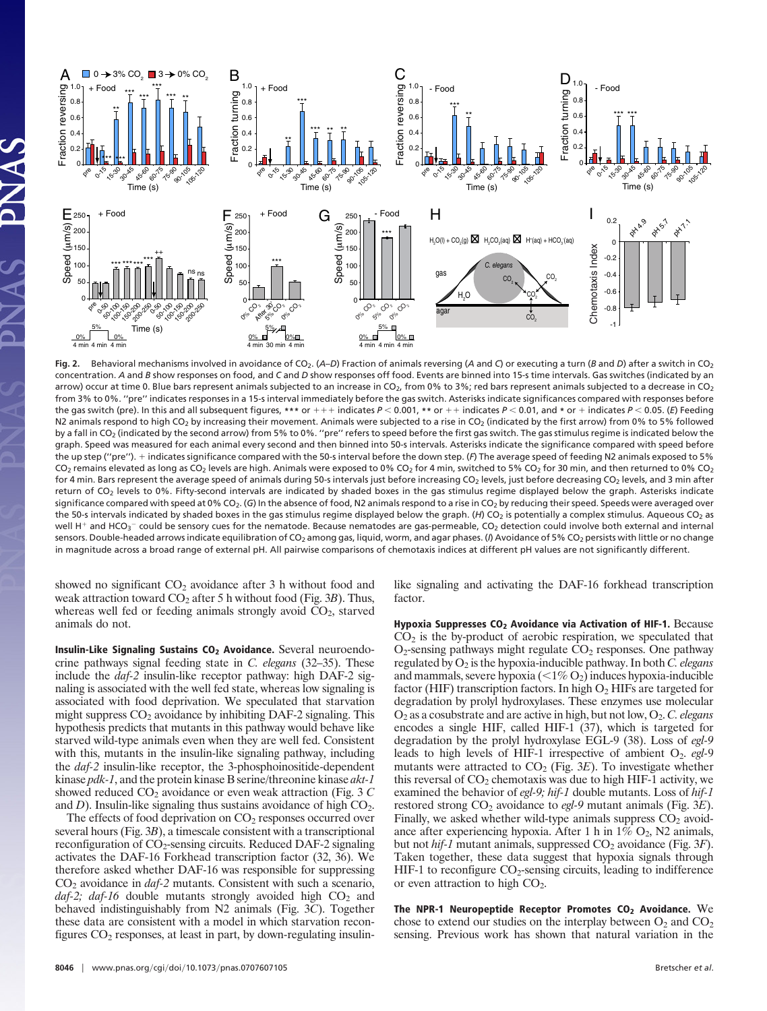

Fig. 2. Behavioral mechanisms involved in avoidance of CO<sub>2</sub>. (*A–D*) Fraction of animals reversing (*A* and *C*) or executing a turn (*B* and *D*) after a switch in CO<sub>2</sub> concentration. *A* and *B* show responses on food, and *C* and *D* show responses off food. Events are binned into 15-s time intervals. Gas switches (indicated by an arrow) occur at time 0. Blue bars represent animals subjected to an increase in CO<sub>2</sub>, from 0% to 3%; red bars represent animals subjected to a decrease in CO<sub>2</sub> from 3% to 0%. ''pre'' indicates responses in a 15-s interval immediately before the gas switch. Asterisks indicate significances compared with responses before the gas switch (pre). In this and all subsequent figures, \*\*\* or  $++$  indicates  $P < 0.001$ , \*\* or  $++$  indicates  $P < 0.01$ , and \* or  $+$  indicates  $P < 0.05$ . (*E*) Feeding N2 animals respond to high CO<sub>2</sub> by increasing their movement. Animals were subjected to a rise in CO<sub>2</sub> (indicated by the first arrow) from 0% to 5% followed by a fall in CO<sub>2</sub> (indicated by the second arrow) from 5% to 0%. "pre" refers to speed before the first gas switch. The gas stimulus regime is indicated below the graph. Speed was measured for each animal every second and then binned into 50-s intervals. Asterisks indicate the significance compared with speed before the up step (''pre''). indicates significance compared with the 50-s interval before the down step. (*F*) The average speed of feeding N2 animals exposed to 5% CO<sub>2</sub> remains elevated as long as CO<sub>2</sub> levels are high. Animals were exposed to 0% CO<sub>2</sub> for 4 min, switched to 5% CO<sub>2</sub> for 30 min, and then returned to 0% CO<sub>2</sub> for 4 min. Bars represent the average speed of animals during 50-s intervals just before increasing CO<sub>2</sub> levels, just before decreasing CO<sub>2</sub> levels, and 3 min after return of CO<sub>2</sub> levels to 0%. Fifty-second intervals are indicated by shaded boxes in the gas stimulus regime displayed below the graph. Asterisks indicate significance compared with speed at 0% CO<sub>2</sub>. (G) In the absence of food, N2 animals respond to a rise in CO<sub>2</sub> by reducing their speed. Speeds were averaged over the 50-s intervals indicated by shaded boxes in the gas stimulus regime displayed below the graph. (H) CO<sub>2</sub> is potentially a complex stimulus. Aqueous CO<sub>2</sub> as well H<sup>+</sup> and HCO<sub>3</sub><sup>-</sup> could be sensory cues for the nematode. Because nematodes are gas-permeable, CO<sub>2</sub> detection could involve both external and internal sensors. Double-headed arrows indicate equilibration of CO<sub>2</sub> among gas, liquid, worm, and agar phases. (*I*) Avoidance of 5% CO<sub>2</sub> persists with little or no change in magnitude across a broad range of external pH. All pairwise comparisons of chemotaxis indices at different pH values are not significantly different.

showed no significant  $CO<sub>2</sub>$  avoidance after 3 h without food and weak attraction toward CO<sub>2</sub> after 5 h without food (Fig. 3*B*). Thus, whereas well fed or feeding animals strongly avoid  $CO<sub>2</sub>$ , starved animals do not.

**Insulin-Like Signaling Sustains CO<sub>2</sub> Avoidance.** Several neuroendocrine pathways signal feeding state in *C. elegans* (32–35). These include the *daf-2* insulin-like receptor pathway: high DAF-2 signaling is associated with the well fed state, whereas low signaling is associated with food deprivation. We speculated that starvation might suppress  $CO<sub>2</sub>$  avoidance by inhibiting DAF-2 signaling. This hypothesis predicts that mutants in this pathway would behave like starved wild-type animals even when they are well fed. Consistent with this, mutants in the insulin-like signaling pathway, including the *daf-2* insulin-like receptor, the 3-phosphoinositide-dependent kinase *pdk-1*, and the protein kinase B serine/threonine kinase *akt-1* showed reduced CO<sub>2</sub> avoidance or even weak attraction (Fig. 3 *C*) and  $D$ ). Insulin-like signaling thus sustains avoidance of high  $CO<sub>2</sub>$ .

The effects of food deprivation on  $CO<sub>2</sub>$  responses occurred over several hours (Fig. 3*B*), a timescale consistent with a transcriptional reconfiguration of  $CO_2$ -sensing circuits. Reduced DAF-2 signaling activates the DAF-16 Forkhead transcription factor (32, 36). We therefore asked whether DAF-16 was responsible for suppressing CO2 avoidance in *daf-2* mutants. Consistent with such a scenario, daf-2; daf-16 double mutants strongly avoided high CO<sub>2</sub> and behaved indistinguishably from N2 animals (Fig. 3*C*). Together these data are consistent with a model in which starvation reconfigures  $CO<sub>2</sub>$  responses, at least in part, by down-regulating insulinlike signaling and activating the DAF-16 forkhead transcription factor.

**Hypoxia Suppresses CO2 Avoidance via Activation of HIF-1.** Because  $CO<sub>2</sub>$  is the by-product of aerobic respiration, we speculated that  $O<sub>2</sub>$ -sensing pathways might regulate  $CO<sub>2</sub>$  responses. One pathway regulated by O2 is the hypoxia-inducible pathway. In both *C. elegans* and mammals, severe hypoxia  $(<1\%$  O<sub>2</sub>) induces hypoxia-inducible factor (HIF) transcription factors. In high  $O_2$  HIFs are targeted for degradation by prolyl hydroxylases. These enzymes use molecular O2 as a cosubstrate and are active in high, but not low, O2. *C. elegans* encodes a single HIF, called HIF-1 (37), which is targeted for degradation by the prolyl hydroxylase EGL-9 (38). Loss of *egl-9* leads to high levels of HIF-1 irrespective of ambient O<sub>2</sub>. *egl*-9 mutants were attracted to CO<sub>2</sub> (Fig. 3E). To investigate whether this reversal of  $CO<sub>2</sub>$  chemotaxis was due to high HIF-1 activity, we examined the behavior of *egl-9; hif-1* double mutants. Loss of *hif-1* restored strong CO<sub>2</sub> avoidance to *egl*-9 mutant animals (Fig. 3*E*). Finally, we asked whether wild-type animals suppress  $CO<sub>2</sub>$  avoidance after experiencing hypoxia. After 1 h in  $1\%$  O<sub>2</sub>, N<sub>2</sub> animals, but not *hif-1* mutant animals, suppressed  $CO_2$  avoidance (Fig. 3*F*). Taken together, these data suggest that hypoxia signals through HIF-1 to reconfigure  $CO_2$ -sensing circuits, leading to indifference or even attraction to high  $CO<sub>2</sub>$ .

**The NPR-1 Neuropeptide Receptor Promotes CO<sub>2</sub> Avoidance.** We chose to extend our studies on the interplay between  $O_2$  and  $CO_2$ sensing. Previous work has shown that natural variation in the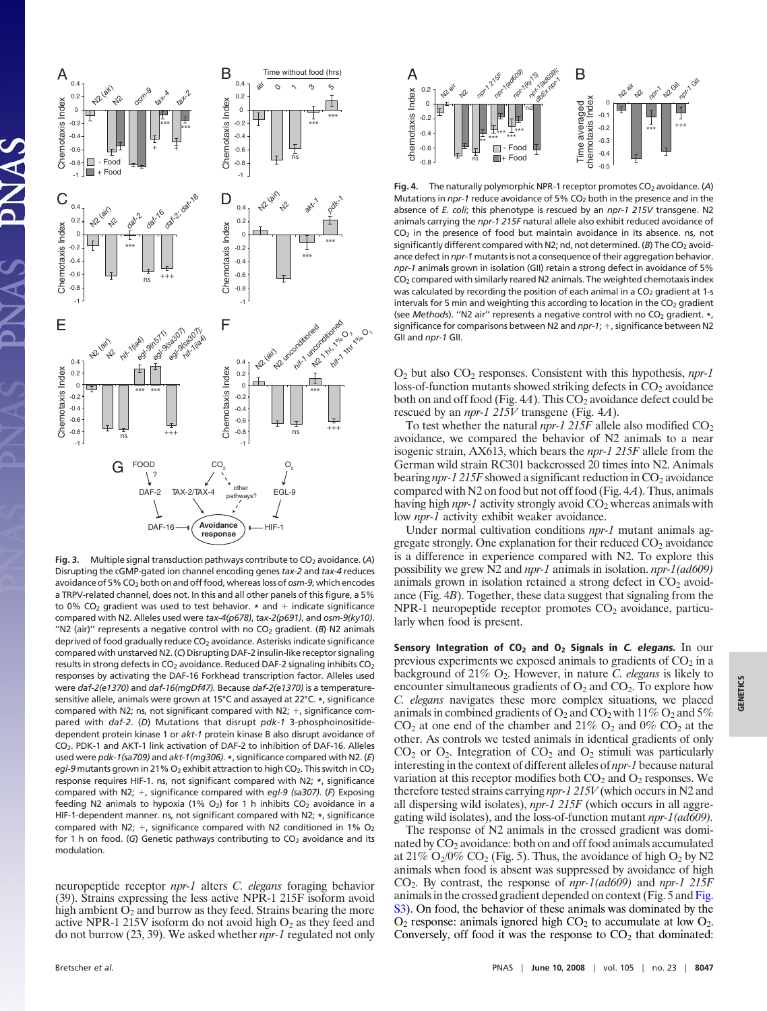

**Fig. 3.** Multiple signal transduction pathways contribute to CO<sub>2</sub> avoidance. (A) Disrupting the cGMP-gated ion channel encoding genes *tax-2* and *tax-4* reduces avoidance of 5% CO<sub>2</sub> both on and off food, whereas loss of *osm-9*, which encodes a TRPV-related channel, does not. In this and all other panels of this figure, a 5% to 0% CO<sub>2</sub> gradient was used to test behavior.  $*$  and  $+$  indicate significance compared with N2. Alleles used were *tax-4(p678)*, *tax-2(p691)*, and *osm-9(ky10)*. "N2 (air)" represents a negative control with no CO<sub>2</sub> gradient. (B) N2 animals deprived of food gradually reduce CO<sub>2</sub> avoidance. Asterisks indicate significance compared with unstarved N2. (*C*) Disrupting DAF-2 insulin-like receptor signaling results in strong defects in  $CO<sub>2</sub>$  avoidance. Reduced DAF-2 signaling inhibits  $CO<sub>2</sub>$ responses by activating the DAF-16 Forkhead transcription factor. Alleles used were *daf-2(e1370)* and *daf-16(mgDf47).* Because *daf-2(e1370)* is a temperaturesensitive allele, animals were grown at 15°C and assayed at 22°C. **\***, significance compared with N2; ns, not significant compared with N2;  $+$ , significance compared with *daf-2*. (*D*) Mutations that disrupt *pdk-1* 3-phosphoinositidedependent protein kinase 1 or *akt-1* protein kinase B also disrupt avoidance of CO2. PDK-1 and AKT-1 link activation of DAF-2 to inhibition of DAF-16. Alleles used were *pdk-1(sa709)* and *akt-1(mg306)*. **\***, significance compared with N2. (*E*) *egl-9* mutants grown in 21% O<sub>2</sub> exhibit attraction to high CO<sub>2</sub>. This switch in CO<sub>2</sub> response requires HIF-1. ns, not significant compared with N2; **\***, significance compared with N2; +, significance compared with *egl-9 (sa307)*. (F) Exposing feeding N2 animals to hypoxia (1%  $O_2$ ) for 1 h inhibits  $CO_2$  avoidance in a HIF-1-dependent manner. ns, not significant compared with N2; **\***, significance compared with N2;  $+$ , significance compared with N2 conditioned in 1% O<sub>2</sub> for 1 h on food. (G) Genetic pathways contributing to CO<sub>2</sub> avoidance and its modulation.

neuropeptide receptor *npr-1* alters *C. elegans* foraging behavior (39). Strains expressing the less active NPR-1 215F isoform avoid high ambient  $O_2$  and burrow as they feed. Strains bearing the more active NPR-1 215V isoform do not avoid high  $O_2$  as they feed and do not burrow (23, 39). We asked whether *npr-1* regulated not only



Fig. 4. The naturally polymorphic NPR-1 receptor promotes CO<sub>2</sub> avoidance. (A) Mutations in *npr-1* reduce avoidance of 5% CO<sub>2</sub> both in the presence and in the absence of *E. coli*; this phenotype is rescued by an *npr-1 215V* transgene. N2 animals carrying the *npr-1 215F* natural allele also exhibit reduced avoidance of  $CO<sub>2</sub>$  in the presence of food but maintain avoidance in its absence. ns, not significantly different compared with N2; nd, not determined. (B) The CO<sub>2</sub> avoidance defect in *npr-1* mutants is not a consequence of their aggregation behavior. *npr-1* animals grown in isolation (GII) retain a strong defect in avoidance of 5% CO2 compared with similarly reared N2 animals. The weighted chemotaxis index was calculated by recording the position of each animal in a  $CO<sub>2</sub>$  gradient at 1-s intervals for 5 min and weighting this according to location in the  $CO<sub>2</sub>$  gradient (see *Methods*). "N2 air" represents a negative control with no CO<sub>2</sub> gradient. \*, significance for comparisons between N2 and *npr-1*; +, significance between N2 GII and *npr-1* GII.

O2 but also CO2 responses. Consistent with this hypothesis, *npr-1* loss-of-function mutants showed striking defects in  $CO<sub>2</sub>$  avoidance both on and off food (Fig.  $4A$ ). This  $CO<sub>2</sub>$  avoidance defect could be rescued by an *npr-1 215V* transgene (Fig. 4*A*).

To test whether the natural  $npr-1$  215F allele also modified  $CO<sub>2</sub>$ avoidance, we compared the behavior of N2 animals to a near isogenic strain, AX613, which bears the *npr-1 215F* allele from the German wild strain RC301 backcrossed 20 times into N2. Animals bearing *npr-1 215F* showed a significant reduction in CO<sub>2</sub> avoidance compared with N2 on food but not off food (Fig. 4*A*). Thus, animals having high *npr-1* activity strongly avoid CO<sub>2</sub> whereas animals with low *npr-1* activity exhibit weaker avoidance.

Under normal cultivation conditions *npr-1* mutant animals aggregate strongly. One explanation for their reduced  $CO<sub>2</sub>$  avoidance is a difference in experience compared with N2. To explore this possibility we grew N2 and *npr-1* animals in isolation. *npr-1(ad609)* animals grown in isolation retained a strong defect in  $CO<sub>2</sub>$  avoidance (Fig. 4*B*). Together, these data suggest that signaling from the  $NPR-1$  neuropeptide receptor promotes  $CO<sub>2</sub>$  avoidance, particularly when food is present.

**Sensory Integration of CO2 and O2 Signals in C. elegans.** In our previous experiments we exposed animals to gradients of  $CO<sub>2</sub>$  in a background of 21% O2. However, in nature *C. elegans* is likely to encounter simultaneous gradients of  $O_2$  and  $CO_2$ . To explore how *C. elegans* navigates these more complex situations, we placed animals in combined gradients of  $O_2$  and  $CO_2$  with 11%  $O_2$  and 5%  $CO<sub>2</sub>$  at one end of the chamber and 21%  $O<sub>2</sub>$  and 0%  $CO<sub>2</sub>$  at the other. As controls we tested animals in identical gradients of only  $CO<sub>2</sub>$  or  $O<sub>2</sub>$ . Integration of  $CO<sub>2</sub>$  and  $O<sub>2</sub>$  stimuli was particularly interesting in the context of different alleles of *npr-1* because natural variation at this receptor modifies both  $CO<sub>2</sub>$  and  $O<sub>2</sub>$  responses. We therefore tested strains carrying *npr-1 215V* (which occurs in N2 and all dispersing wild isolates), *npr-1 215F* (which occurs in all aggregating wild isolates), and the loss-of-function mutant *npr-1(ad609).*

The response of N2 animals in the crossed gradient was dominated by  $CO<sub>2</sub>$  avoidance: both on and off food animals accumulated at 21%  $O_2/0\%$  CO<sub>2</sub> (Fig. 5). Thus, the avoidance of high  $O_2$  by N2 animals when food is absent was suppressed by avoidance of high CO2. By contrast, the response of *npr-1(ad609)* and *npr-1 215F* animals in the crossed gradient depended on context (Fig. 5 and [Fig.](http://www.pnas.org/cgi/data/0707607105/DCSupplemental/Supplemental_PDF#nameddest=SF3) [S3\)](http://www.pnas.org/cgi/data/0707607105/DCSupplemental/Supplemental_PDF#nameddest=SF3). On food, the behavior of these animals was dominated by the  $O_2$  response: animals ignored high  $CO_2$  to accumulate at low  $O_2$ . Conversely, off food it was the response to  $CO<sub>2</sub>$  that dominated: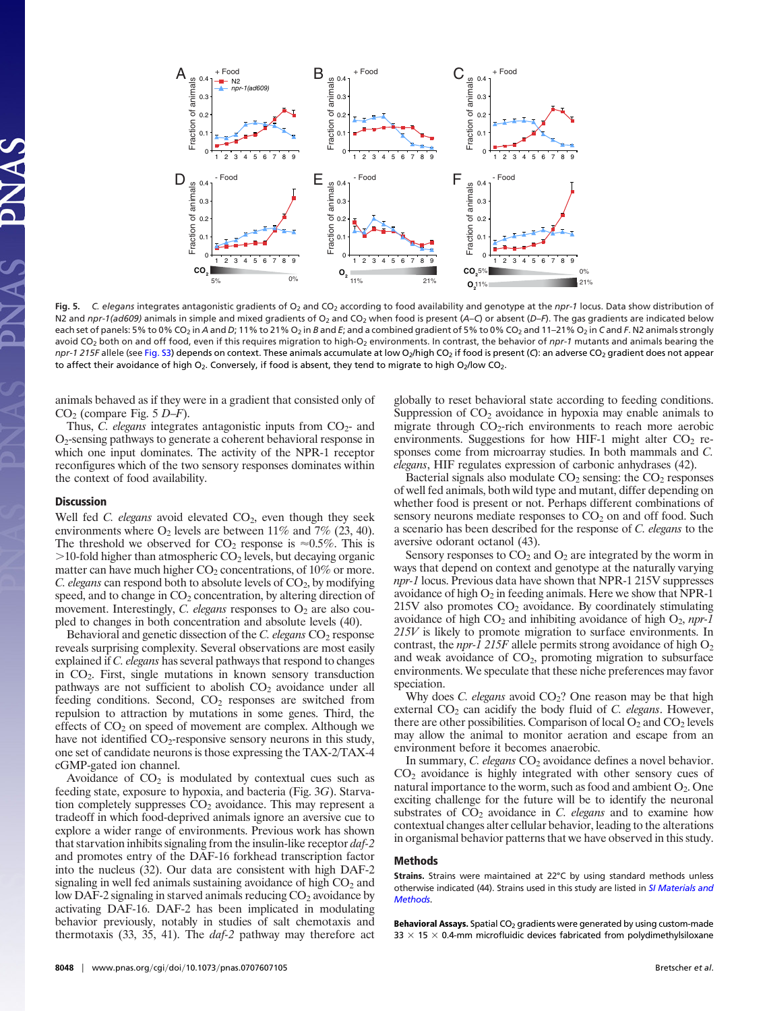

Fig. 5. C. elegans integrates antagonistic gradients of O<sub>2</sub> and CO<sub>2</sub> according to food availability and genotype at the *npr-1* locus. Data show distribution of N2 and *npr-1(ad609)* animals in simple and mixed gradients of O<sub>2</sub> and CO<sub>2</sub> when food is present (*A*–*C*) or absent (*D–F*). The gas gradients are indicated below each set of panels: 5% to 0% CO<sub>2</sub> in *A* and *D*; 11% to 21% O<sub>2</sub> in *B* and *E*; and a combined gradient of 5% to 0% CO<sub>2</sub> and 11-21% O<sub>2</sub> in *C* and *F*. N2 animals strongly avoid CO<sub>2</sub> both on and off food, even if this requires migration to high-O<sub>2</sub> environments. In contrast, the behavior of *npr-1* mutants and animals bearing the *npr-1 215F* allele (see [Fig. S3\)](http://www.pnas.org/cgi/data/0707607105/DCSupplemental/Supplemental_PDF#nameddest=SF3) depends on context. These animals accumulate at low O<sub>2</sub>/high CO<sub>2</sub> if food is present (C): an adverse CO<sub>2</sub> gradient does not appear to affect their avoidance of high  $O_2$ . Conversely, if food is absent, they tend to migrate to high  $O_2$ /low CO<sub>2</sub>.

animals behaved as if they were in a gradient that consisted only of CO2 (compare Fig. 5 *D*–*F*).

Thus, *C. elegans* integrates antagonistic inputs from  $CO<sub>2</sub>$ - and O2-sensing pathways to generate a coherent behavioral response in which one input dominates. The activity of the NPR-1 receptor reconfigures which of the two sensory responses dominates within the context of food availability.

## **Discussion**

Well fed *C. elegans* avoid elevated CO<sub>2</sub>, even though they seek environments where  $O_2$  levels are between 11% and 7% (23, 40). The threshold we observed for  $CO_2$  response is  $\approx 0.5\%$ . This is  $>$ 10-fold higher than atmospheric CO<sub>2</sub> levels, but decaying organic matter can have much higher  $CO<sub>2</sub>$  concentrations, of 10% or more. *C. elegans* can respond both to absolute levels of CO<sub>2</sub>, by modifying speed, and to change in  $CO<sub>2</sub>$  concentration, by altering direction of movement. Interestingly, *C. elegans* responses to  $O_2$  are also coupled to changes in both concentration and absolute levels (40).

Behavioral and genetic dissection of the *C. elegans* CO<sub>2</sub> response reveals surprising complexity. Several observations are most easily explained if *C. elegans* has several pathways that respond to changes in CO2. First, single mutations in known sensory transduction pathways are not sufficient to abolish  $CO<sub>2</sub>$  avoidance under all feeding conditions. Second,  $CO<sub>2</sub>$  responses are switched from repulsion to attraction by mutations in some genes. Third, the effects of  $CO<sub>2</sub>$  on speed of movement are complex. Although we have not identified  $CO_2$ -responsive sensory neurons in this study, one set of candidate neurons is those expressing the TAX-2/TAX-4 cGMP-gated ion channel.

Avoidance of  $CO<sub>2</sub>$  is modulated by contextual cues such as feeding state, exposure to hypoxia, and bacteria (Fig. 3*G*). Starvation completely suppresses  $CO<sub>2</sub>$  avoidance. This may represent a tradeoff in which food-deprived animals ignore an aversive cue to explore a wider range of environments. Previous work has shown that starvation inhibits signaling from the insulin-like receptor *daf-2* and promotes entry of the DAF-16 forkhead transcription factor into the nucleus (32). Our data are consistent with high DAF-2 signaling in well fed animals sustaining avoidance of high  $CO<sub>2</sub>$  and low DAF-2 signaling in starved animals reducing  $CO<sub>2</sub>$  avoidance by activating DAF-16. DAF-2 has been implicated in modulating behavior previously, notably in studies of salt chemotaxis and thermotaxis (33, 35, 41). The *daf-2* pathway may therefore act globally to reset behavioral state according to feeding conditions. Suppression of  $CO<sub>2</sub>$  avoidance in hypoxia may enable animals to migrate through  $CO<sub>2</sub>$ -rich environments to reach more aerobic environments. Suggestions for how HIF-1 might alter  $CO<sub>2</sub>$  responses come from microarray studies. In both mammals and *C. elegans*, HIF regulates expression of carbonic anhydrases (42).

Bacterial signals also modulate  $CO<sub>2</sub>$  sensing: the  $CO<sub>2</sub>$  responses of well fed animals, both wild type and mutant, differ depending on whether food is present or not. Perhaps different combinations of sensory neurons mediate responses to  $CO<sub>2</sub>$  on and off food. Such a scenario has been described for the response of *C. elegans* to the aversive odorant octanol (43).

Sensory responses to  $CO<sub>2</sub>$  and  $O<sub>2</sub>$  are integrated by the worm in ways that depend on context and genotype at the naturally varying *npr-1* locus. Previous data have shown that NPR-1 215V suppresses avoidance of high  $O_2$  in feeding animals. Here we show that NPR-1  $215V$  also promotes  $CO<sub>2</sub>$  avoidance. By coordinately stimulating avoidance of high  $CO<sub>2</sub>$  and inhibiting avoidance of high  $O<sub>2</sub>$ , *npr-1 215V* is likely to promote migration to surface environments. In contrast, the *npr-1 215F* allele permits strong avoidance of high  $O_2$ and weak avoidance of  $CO<sub>2</sub>$ , promoting migration to subsurface environments. We speculate that these niche preferences may favor speciation.

Why does *C. elegans* avoid CO<sub>2</sub>? One reason may be that high external  $CO<sub>2</sub>$  can acidify the body fluid of *C. elegans*. However, there are other possibilities. Comparison of local  $O_2$  and  $CO_2$  levels may allow the animal to monitor aeration and escape from an environment before it becomes anaerobic.

In summary, *C. elegans* CO<sub>2</sub> avoidance defines a novel behavior.  $CO<sub>2</sub>$  avoidance is highly integrated with other sensory cues of natural importance to the worm, such as food and ambient  $O_2$ . One exciting challenge for the future will be to identify the neuronal substrates of  $CO<sub>2</sub>$  avoidance in *C. elegans* and to examine how contextual changes alter cellular behavior, leading to the alterations in organismal behavior patterns that we have observed in this study.

## **Methods**

**Strains.** Strains were maintained at 22°C by using standard methods unless otherwise indicated (44). Strains used in this study are listed in *[SI Materials and](http://www.pnas.org/cgi/data/0707607105/DCSupplemental/Supplemental_PDF#nameddest=STXT) [Methods](http://www.pnas.org/cgi/data/0707607105/DCSupplemental/Supplemental_PDF#nameddest=STXT)*.

Behavioral Assays. Spatial CO<sub>2</sub> gradients were generated by using custom-made 33  $\times$  15  $\times$  0.4-mm microfluidic devices fabricated from polydimethylsiloxane